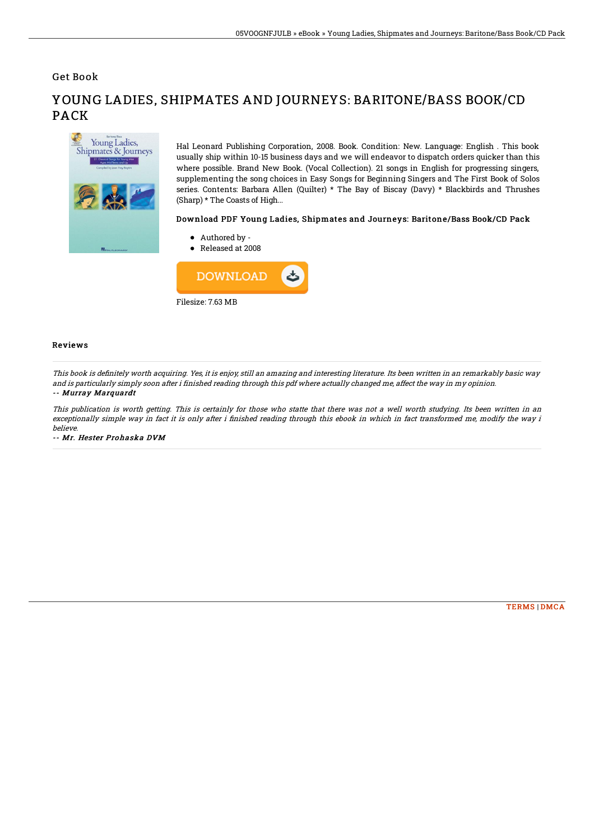Get Book



## YOUNG LADIES, SHIPMATES AND JOURNEYS: BARITONE/BASS BOOK/CD PACK

Hal Leonard Publishing Corporation, 2008. Book. Condition: New. Language: English . This book usually ship within 10-15 business days and we will endeavor to dispatch orders quicker than this where possible. Brand New Book. (Vocal Collection). 21 songs in English for progressing singers, supplementing the song choices in Easy Songs for Beginning Singers and The First Book of Solos series. Contents: Barbara Allen (Quilter) \* The Bay of Biscay (Davy) \* Blackbirds and Thrushes (Sharp) \* The Coasts of High...

## Download PDF Young Ladies, Shipmates and Journeys: Baritone/Bass Book/CD Pack

- Authored by -
- Released at 2008



## Reviews

This book is definitely worth acquiring. Yes, it is enjoy, still an amazing and interesting literature. Its been written in an remarkably basic way and is particularly simply soon after i finished reading through this pdf where actually changed me, affect the way in my opinion. -- Murray Marquardt

This publication is worth getting. This is certainly for those who statte that there was not <sup>a</sup> well worth studying. Its been written in an exceptionally simple way in fact it is only after i finished reading through this ebook in which in fact transformed me, modify the way i believe.

-- Mr. Hester Prohaska DVM